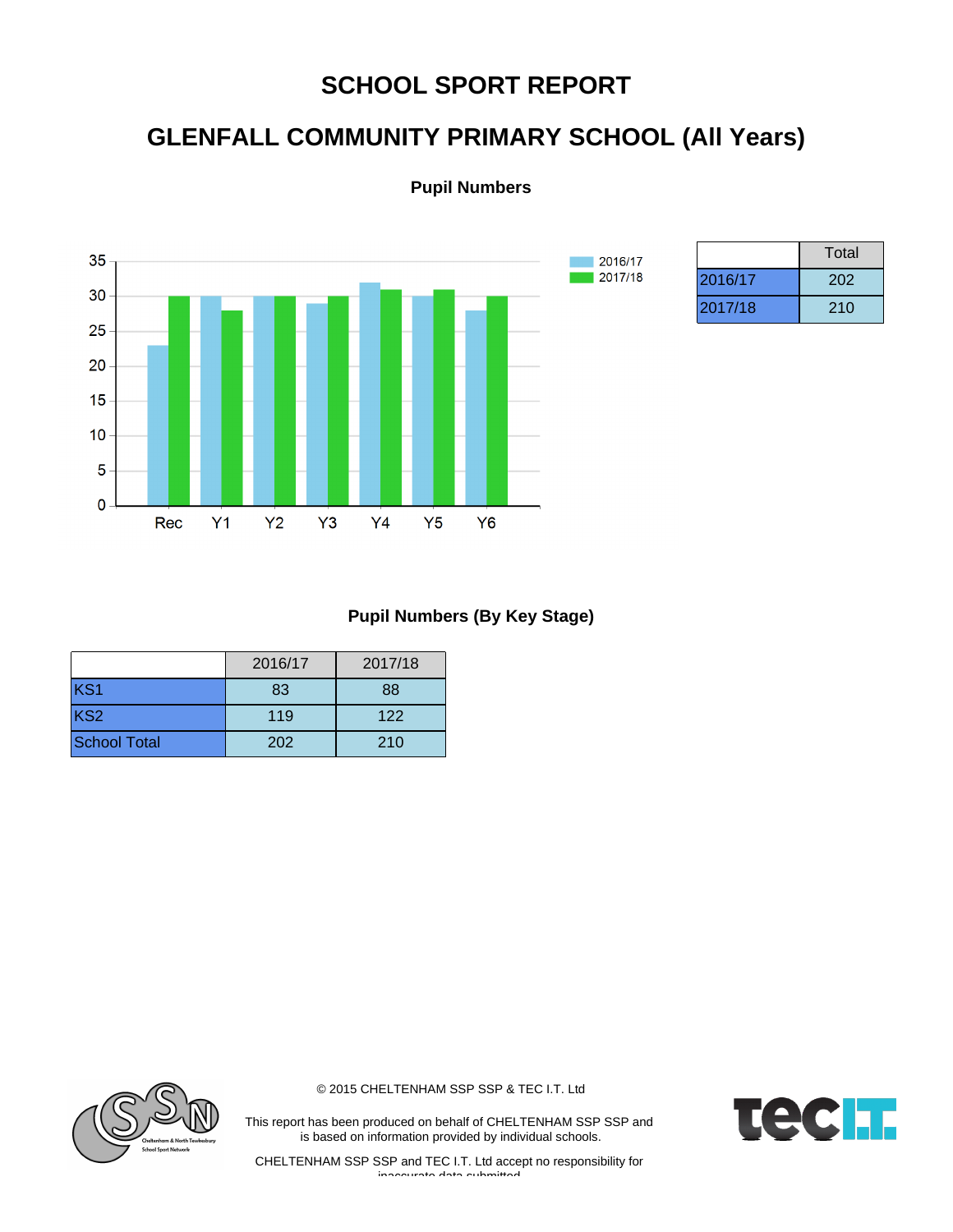## **SCHOOL SPORT REPORT**

# **GLENFALL COMMUNITY PRIMARY SCHOOL (All Years)**

**Pupil Numbers**



|         | Total |
|---------|-------|
| 2016/17 | 202   |
| 2017/18 | 210   |

#### **Pupil Numbers (By Key Stage)**

|                     | 2016/17 | 2017/18 |
|---------------------|---------|---------|
| KS1                 | 83      | 88      |
| KS <sub>2</sub>     | 119     | 122     |
| <b>School Total</b> | 202     | 210     |



© 2015 CHELTENHAM SSP SSP & TEC I.T. Ltd

This report has been produced on behalf of CHELTENHAM SSP SSP and is based on information provided by individual schools.

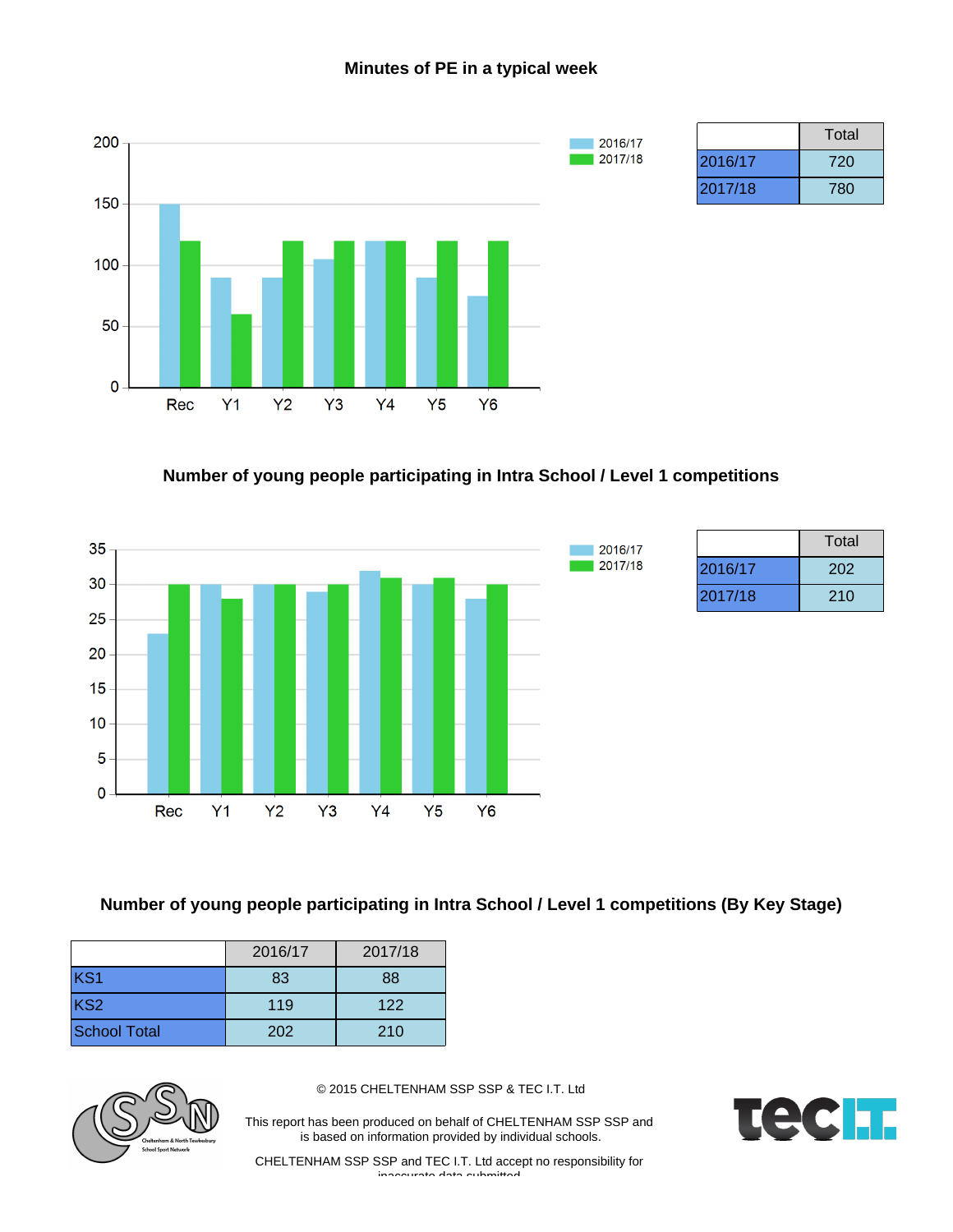#### **Minutes of PE in a typical week**



## **Number of young people participating in Intra School / Level 1 competitions**



|         | Total |
|---------|-------|
| 2016/17 | 202   |
| 2017/18 | 210   |

### **Number of young people participating in Intra School / Level 1 competitions (By Key Stage)**

|                     | 2016/17 | 2017/18 |
|---------------------|---------|---------|
| KS1                 | 83      | 88      |
| KS <sub>2</sub>     | 119     | 122     |
| <b>School Total</b> | 202     | 210     |



© 2015 CHELTENHAM SSP SSP & TEC I.T. Ltd

This report has been produced on behalf of CHELTENHAM SSP SSP and is based on information provided by individual schools.

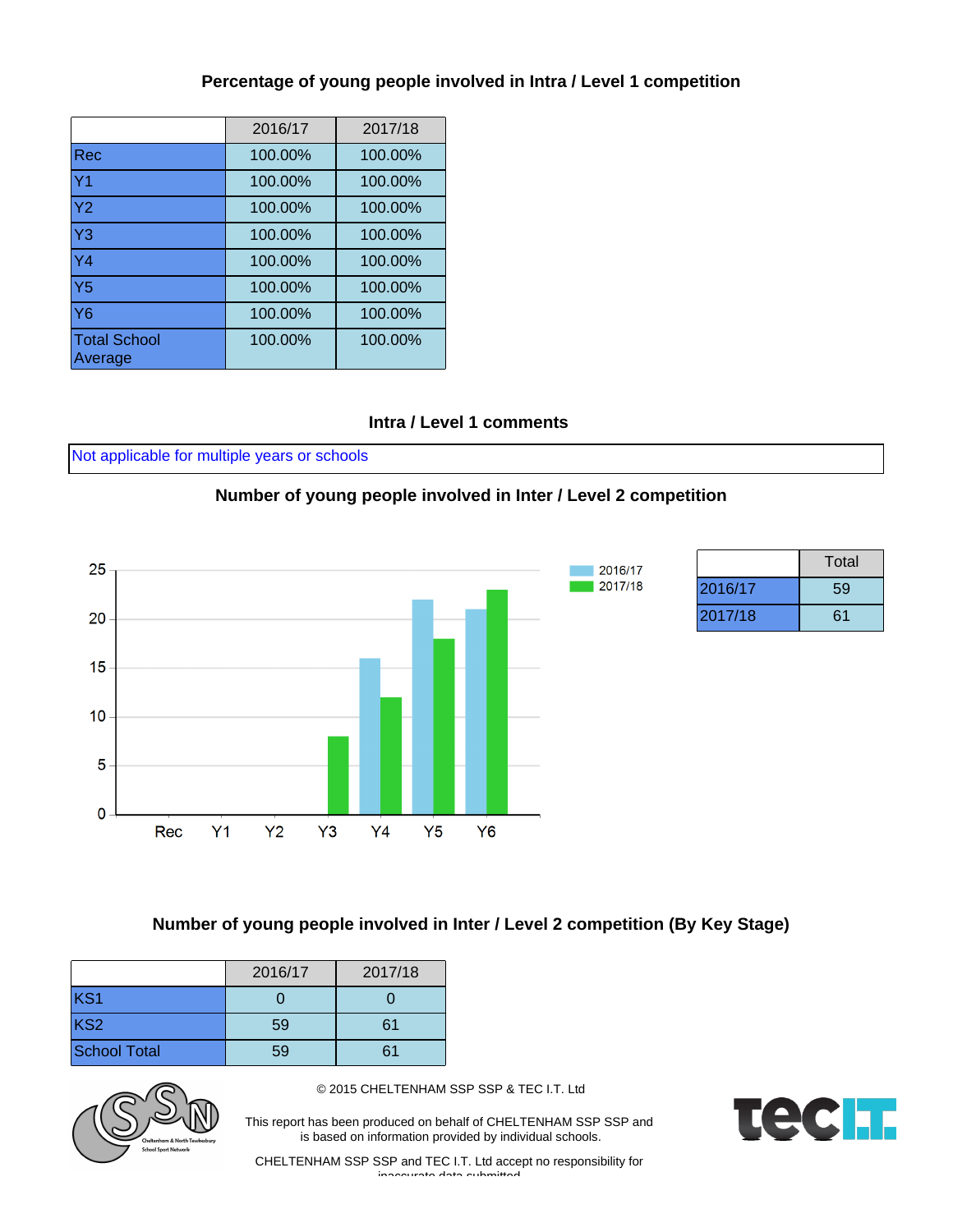### **Percentage of young people involved in Intra / Level 1 competition**

|                                | 2016/17 | 2017/18 |
|--------------------------------|---------|---------|
| Rec                            | 100.00% | 100.00% |
| Y <sub>1</sub>                 | 100.00% | 100.00% |
| Y <sub>2</sub>                 | 100.00% | 100.00% |
| Y <sub>3</sub>                 | 100.00% | 100.00% |
| Y4                             | 100.00% | 100.00% |
| $\overline{Y5}$                | 100.00% | 100.00% |
| <b>Y6</b>                      | 100.00% | 100.00% |
| <b>Total School</b><br>Average | 100.00% | 100.00% |

#### **Intra / Level 1 comments**

Not applicable for multiple years or schools

#### **Number of young people involved in Inter / Level 2 competition**



|         | Total |
|---------|-------|
| 2016/17 | 59    |
| 2017/18 | 61    |

#### **Number of young people involved in Inter / Level 2 competition (By Key Stage)**

|                     | 2016/17 | 2017/18 |
|---------------------|---------|---------|
| KS1                 |         |         |
| KS <sub>2</sub>     | 59      | 61      |
| <b>School Total</b> | 59      |         |



© 2015 CHELTENHAM SSP SSP & TEC I.T. Ltd

This report has been produced on behalf of CHELTENHAM SSP SSP and is based on information provided by individual schools.

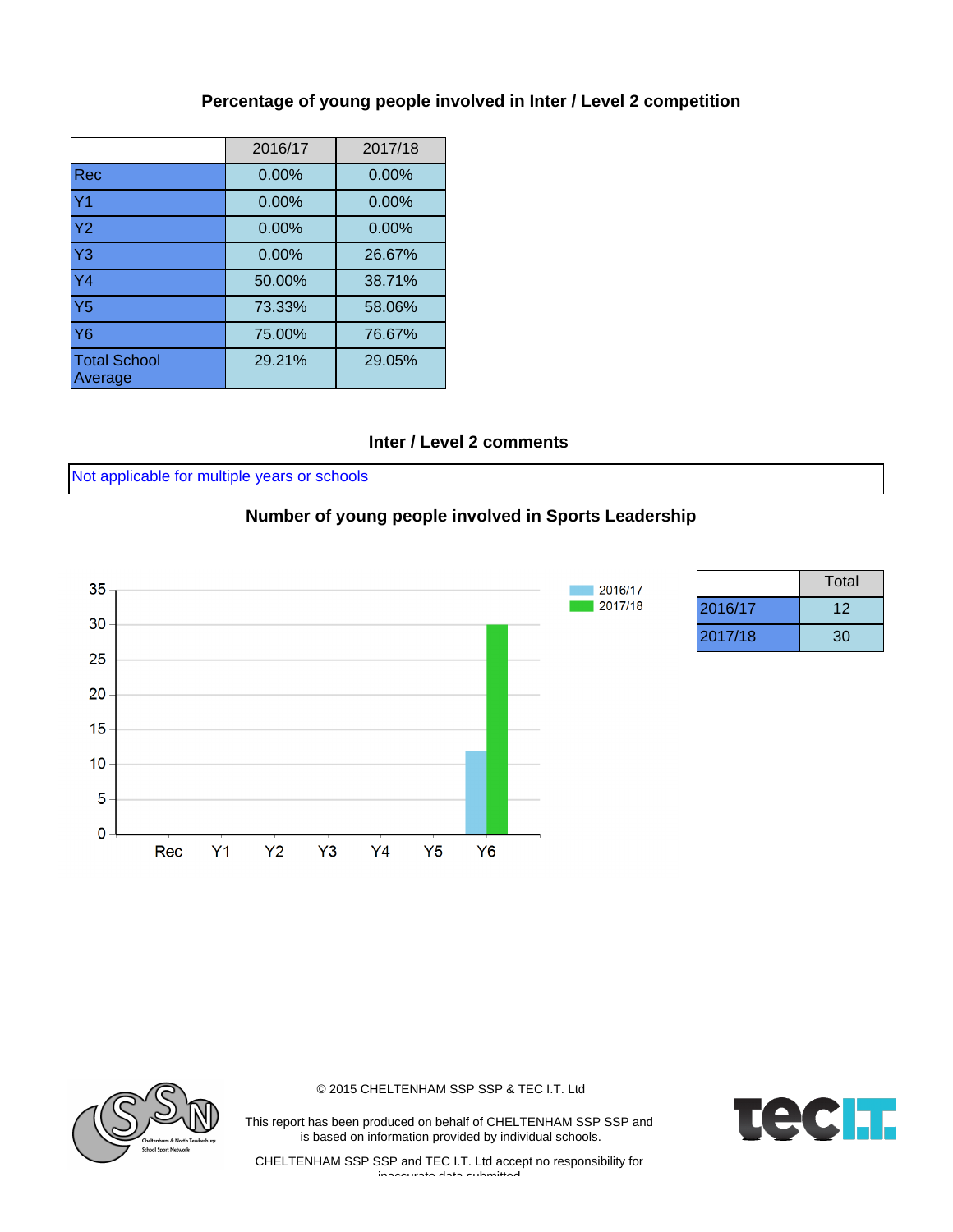### **Percentage of young people involved in Inter / Level 2 competition**

|                                | 2016/17  | 2017/18  |
|--------------------------------|----------|----------|
| <b>Rec</b>                     | 0.00%    | $0.00\%$ |
| Y <sub>1</sub>                 | $0.00\%$ | $0.00\%$ |
| Y <sub>2</sub>                 | 0.00%    | $0.00\%$ |
| Y <sub>3</sub>                 | 0.00%    | 26.67%   |
| $\overline{Y4}$                | 50.00%   | 38.71%   |
| $\overline{Y5}$                | 73.33%   | 58.06%   |
| <b>Y6</b>                      | 75.00%   | 76.67%   |
| <b>Total School</b><br>Average | 29.21%   | 29.05%   |

#### **Inter / Level 2 comments**

Not applicable for multiple years or schools

#### **Number of young people involved in Sports Leadership**



|         | Total |
|---------|-------|
| 2016/17 | 12    |
| 2017/18 | 30    |



© 2015 CHELTENHAM SSP SSP & TEC I.T. Ltd

This report has been produced on behalf of CHELTENHAM SSP SSP and is based on information provided by individual schools.

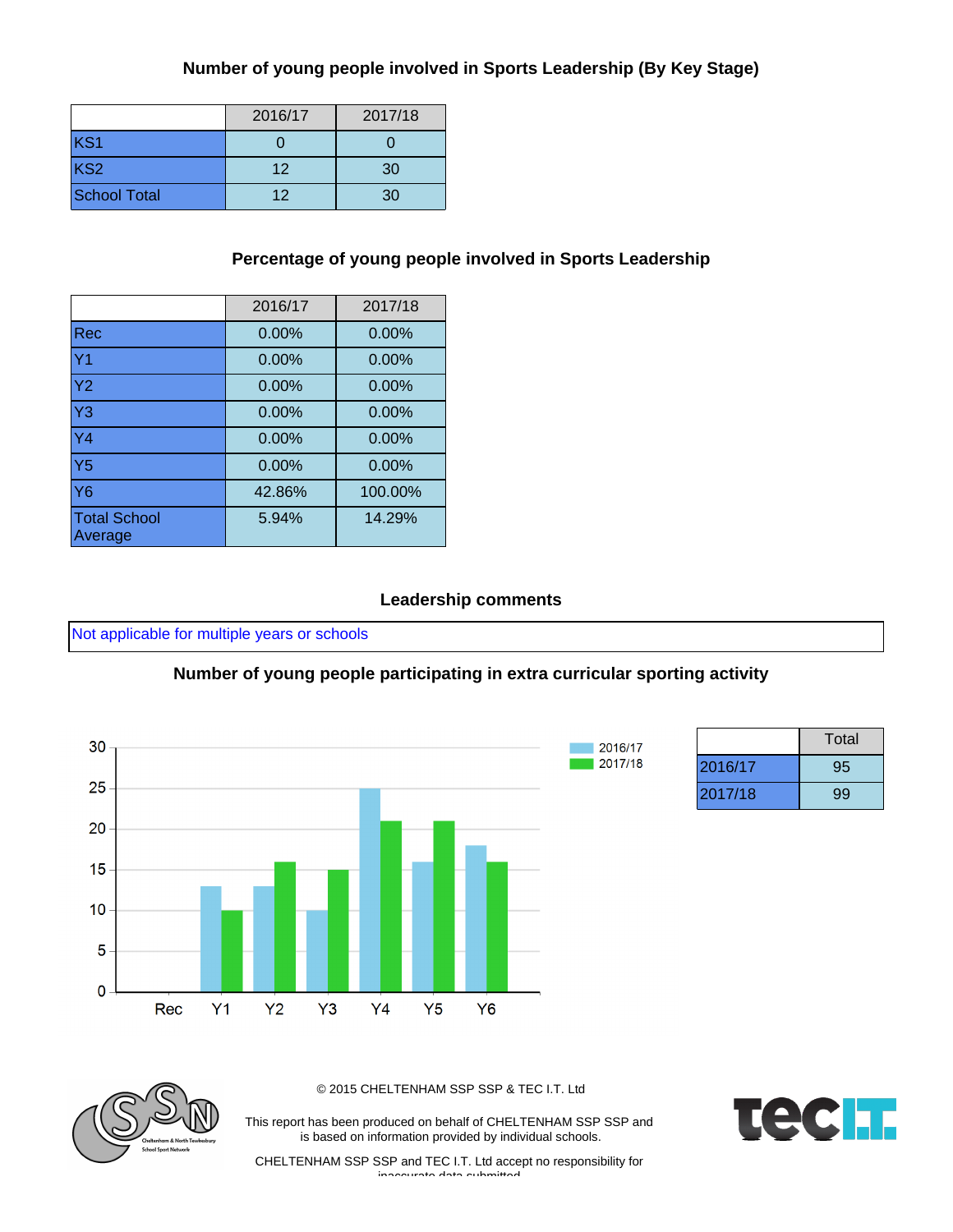#### **Number of young people involved in Sports Leadership (By Key Stage)**

|                     | 2016/17 | 2017/18 |
|---------------------|---------|---------|
| KS1                 |         |         |
| KS <sub>2</sub>     | 12      | 30      |
| <b>School Total</b> | 12      | 30      |

#### **Percentage of young people involved in Sports Leadership**

|                                | 2016/17  | 2017/18 |
|--------------------------------|----------|---------|
| <b>Rec</b>                     | 0.00%    | 0.00%   |
| Y <sub>1</sub>                 | 0.00%    | 0.00%   |
| Y <sub>2</sub>                 | $0.00\%$ | 0.00%   |
| Y <sub>3</sub>                 | $0.00\%$ | 0.00%   |
| Y <sub>4</sub>                 | 0.00%    | 0.00%   |
| Y <sub>5</sub>                 | $0.00\%$ | 0.00%   |
| $\overline{Y6}$                | 42.86%   | 100.00% |
| <b>Total School</b><br>Average | 5.94%    | 14.29%  |

#### **Leadership comments**

Not applicable for multiple years or schools

#### **Number of young people participating in extra curricular sporting activity**



|         | Total |
|---------|-------|
| 2016/17 | 95    |
| 2017/18 | 99    |



© 2015 CHELTENHAM SSP SSP & TEC I.T. Ltd

This report has been produced on behalf of CHELTENHAM SSP SSP and is based on information provided by individual schools.

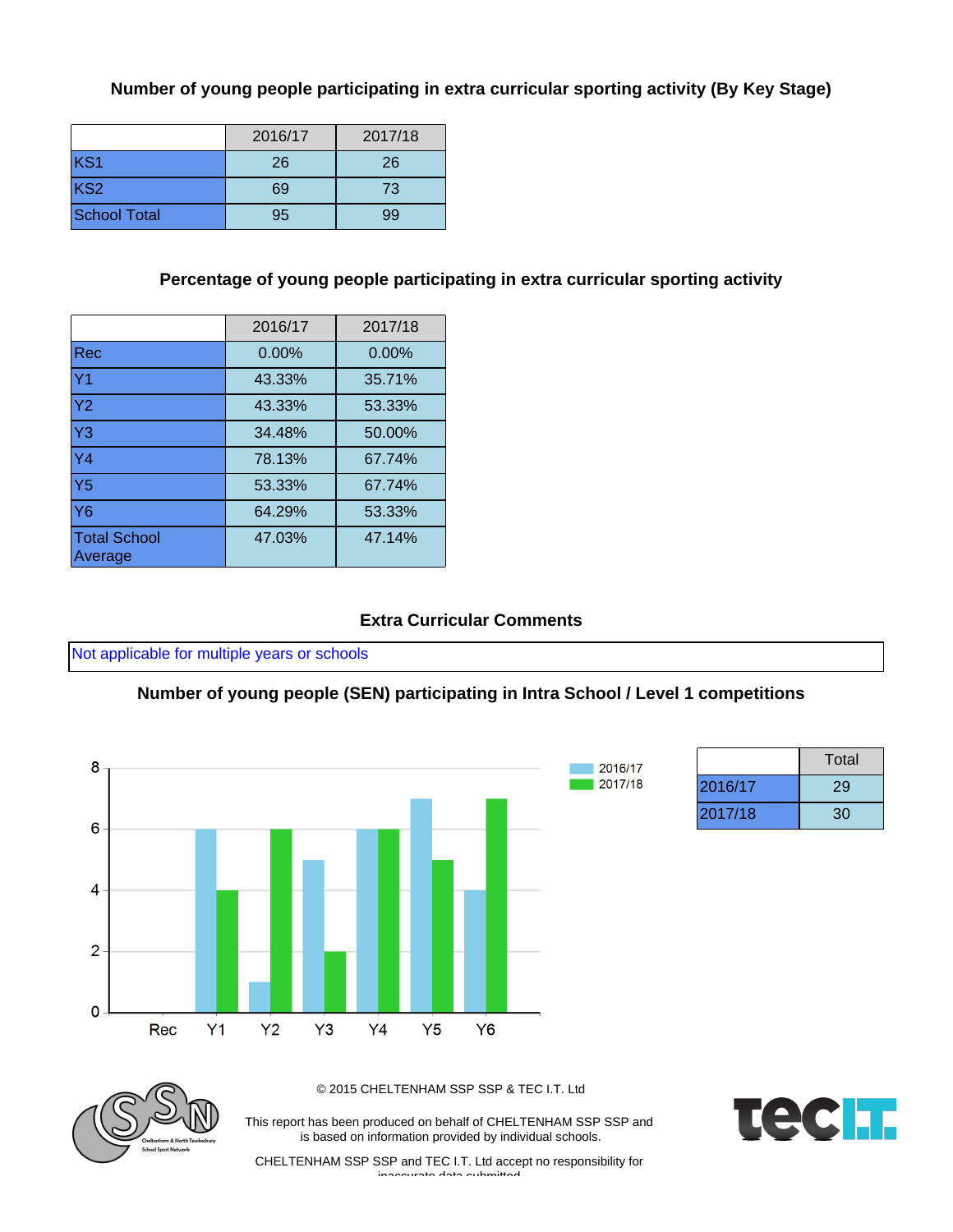#### **Number of young people participating in extra curricular sporting activity (By Key Stage)**

|                     | 2016/17 | 2017/18 |
|---------------------|---------|---------|
| KS <sub>1</sub>     | 26      | 26      |
| KS <sub>2</sub>     | 69      | 73      |
| <b>School Total</b> | 95      | 99      |

## **Percentage of young people participating in extra curricular sporting activity**

|                                | 2016/17  | 2017/18 |
|--------------------------------|----------|---------|
| Rec                            | $0.00\%$ | 0.00%   |
| Y <sub>1</sub>                 | 43.33%   | 35.71%  |
| Y <sub>2</sub>                 | 43.33%   | 53.33%  |
| $\overline{Y3}$                | 34.48%   | 50.00%  |
| $\overline{Y4}$                | 78.13%   | 67.74%  |
| Y5                             | 53.33%   | 67.74%  |
| Y6                             | 64.29%   | 53.33%  |
| <b>Total School</b><br>Average | 47.03%   | 47.14%  |

## **Extra Curricular Comments**

Not applicable for multiple years or schools

### **Number of young people (SEN) participating in Intra School / Level 1 competitions**



|         | Total |
|---------|-------|
| 2016/17 | 29    |
| 2017/18 | 30    |



© 2015 CHELTENHAM SSP SSP & TEC I.T. Ltd

This report has been produced on behalf of CHELTENHAM SSP SSP and is based on information provided by individual schools.

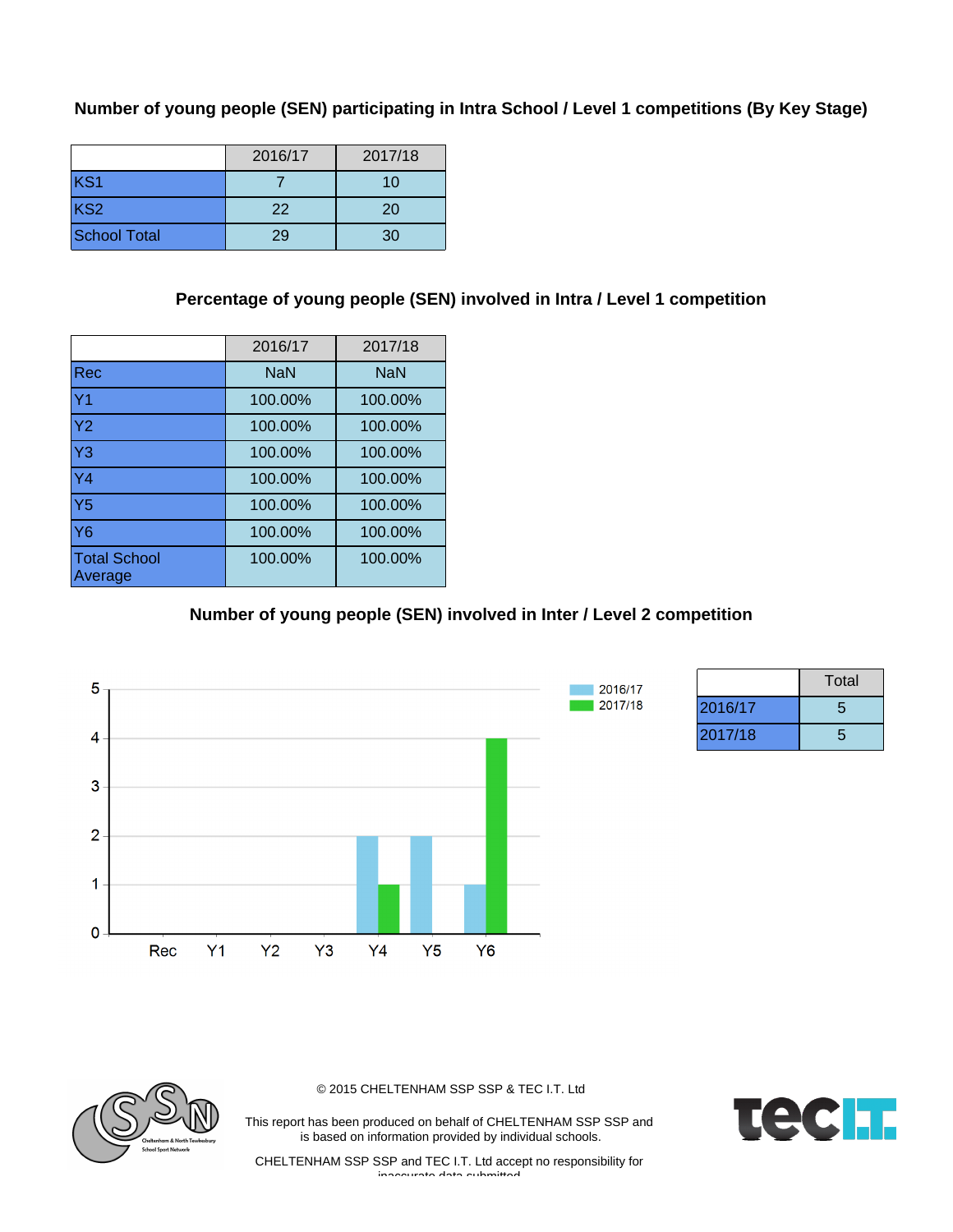### **Number of young people (SEN) participating in Intra School / Level 1 competitions (By Key Stage)**

|                     | 2016/17 | 2017/18 |
|---------------------|---------|---------|
| KS1                 |         | 10      |
| KS <sub>2</sub>     | 22      | 20      |
| <b>School Total</b> | 29      | 30      |

## **Percentage of young people (SEN) involved in Intra / Level 1 competition**

|                                | 2016/17    | 2017/18    |
|--------------------------------|------------|------------|
| <b>Rec</b>                     | <b>NaN</b> | <b>NaN</b> |
| Y <sub>1</sub>                 | 100.00%    | 100.00%    |
| Y <sub>2</sub>                 | 100.00%    | 100.00%    |
| Y <sub>3</sub>                 | 100.00%    | 100.00%    |
| Y <sub>4</sub>                 | 100.00%    | 100.00%    |
| Y <sub>5</sub>                 | 100.00%    | 100.00%    |
| <b>Y6</b>                      | 100.00%    | 100.00%    |
| <b>Total School</b><br>Average | 100.00%    | 100.00%    |

## **Number of young people (SEN) involved in Inter / Level 2 competition**



|         | Total |
|---------|-------|
| 2016/17 | 5     |
| 2017/18 | 5     |



© 2015 CHELTENHAM SSP SSP & TEC I.T. Ltd

This report has been produced on behalf of CHELTENHAM SSP SSP and is based on information provided by individual schools.

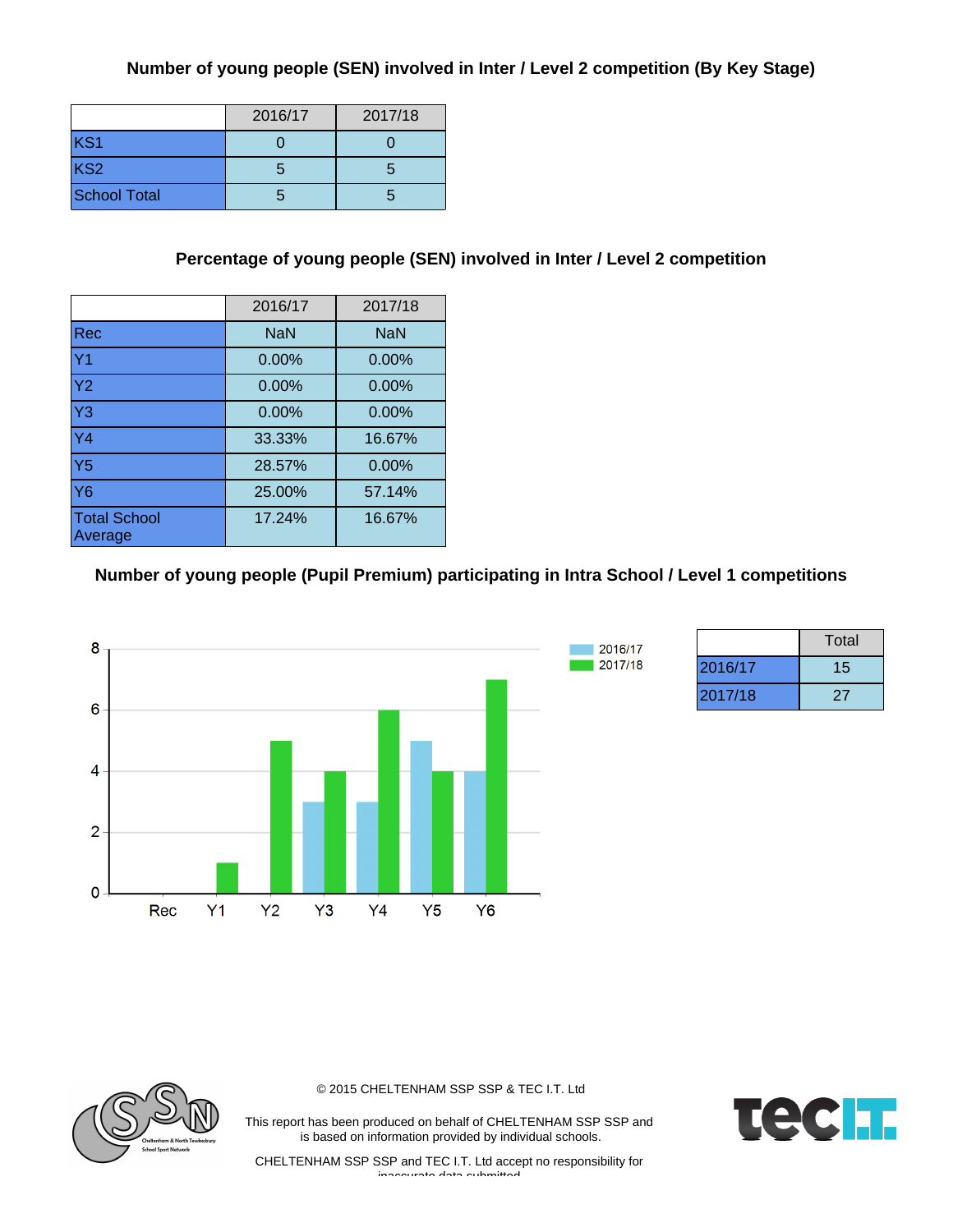## **Number of young people (SEN) involved in Inter / Level 2 competition (By Key Stage)**

|                     | 2016/17 | 2017/18 |
|---------------------|---------|---------|
| KS1                 |         |         |
| KS <sub>2</sub>     | : J     |         |
| <b>School Total</b> |         |         |

## **Percentage of young people (SEN) involved in Inter / Level 2 competition**

|                                | 2016/17    | 2017/18    |
|--------------------------------|------------|------------|
| <b>Rec</b>                     | <b>NaN</b> | <b>NaN</b> |
| Y <sub>1</sub>                 | $0.00\%$   | $0.00\%$   |
| Y <sub>2</sub>                 | $0.00\%$   | $0.00\%$   |
| Y <sub>3</sub>                 | $0.00\%$   | 0.00%      |
| $\overline{Y4}$                | 33.33%     | 16.67%     |
| Y <sub>5</sub>                 | 28.57%     | $0.00\%$   |
| <b>Y6</b>                      | 25.00%     | 57.14%     |
| <b>Total School</b><br>Average | 17.24%     | 16.67%     |

#### **Number of young people (Pupil Premium) participating in Intra School / Level 1 competitions**



|         | Total |
|---------|-------|
| 2016/17 | 15    |
| 2017/18 | 27    |



© 2015 CHELTENHAM SSP SSP & TEC I.T. Ltd

This report has been produced on behalf of CHELTENHAM SSP SSP and is based on information provided by individual schools.

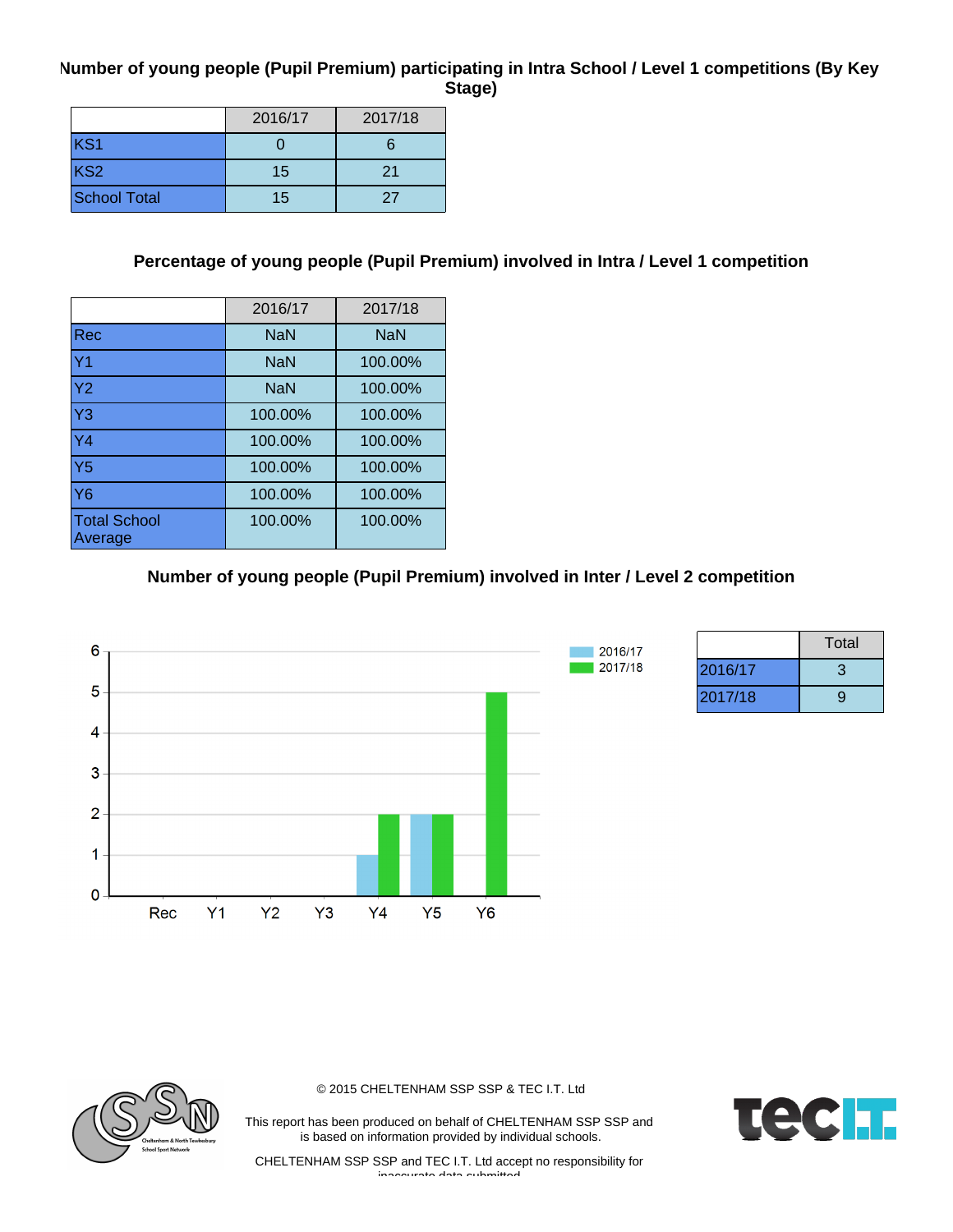#### **Number of young people (Pupil Premium) participating in Intra School / Level 1 competitions (By Key Stage)**

|                     | 2016/17 | 2017/18 |
|---------------------|---------|---------|
| KS1                 |         |         |
| KS <sub>2</sub>     | 15      | 21      |
| <b>School Total</b> | 15      | 27      |

## **Percentage of young people (Pupil Premium) involved in Intra / Level 1 competition**

|                                | 2016/17    | 2017/18    |
|--------------------------------|------------|------------|
| <b>Rec</b>                     | <b>NaN</b> | <b>NaN</b> |
| Y <sub>1</sub>                 | <b>NaN</b> | 100.00%    |
| Y <sub>2</sub>                 | <b>NaN</b> | 100.00%    |
| Y <sub>3</sub>                 | 100.00%    | 100.00%    |
| $\overline{Y4}$                | 100.00%    | 100.00%    |
| Y <sub>5</sub>                 | 100.00%    | 100.00%    |
| <b>Y6</b>                      | 100.00%    | 100.00%    |
| <b>Total School</b><br>Average | 100.00%    | 100.00%    |

## **Number of young people (Pupil Premium) involved in Inter / Level 2 competition**



|         | Total |
|---------|-------|
| 2016/17 | З     |
| 2017/18 | a     |



© 2015 CHELTENHAM SSP SSP & TEC I.T. Ltd

This report has been produced on behalf of CHELTENHAM SSP SSP and is based on information provided by individual schools.

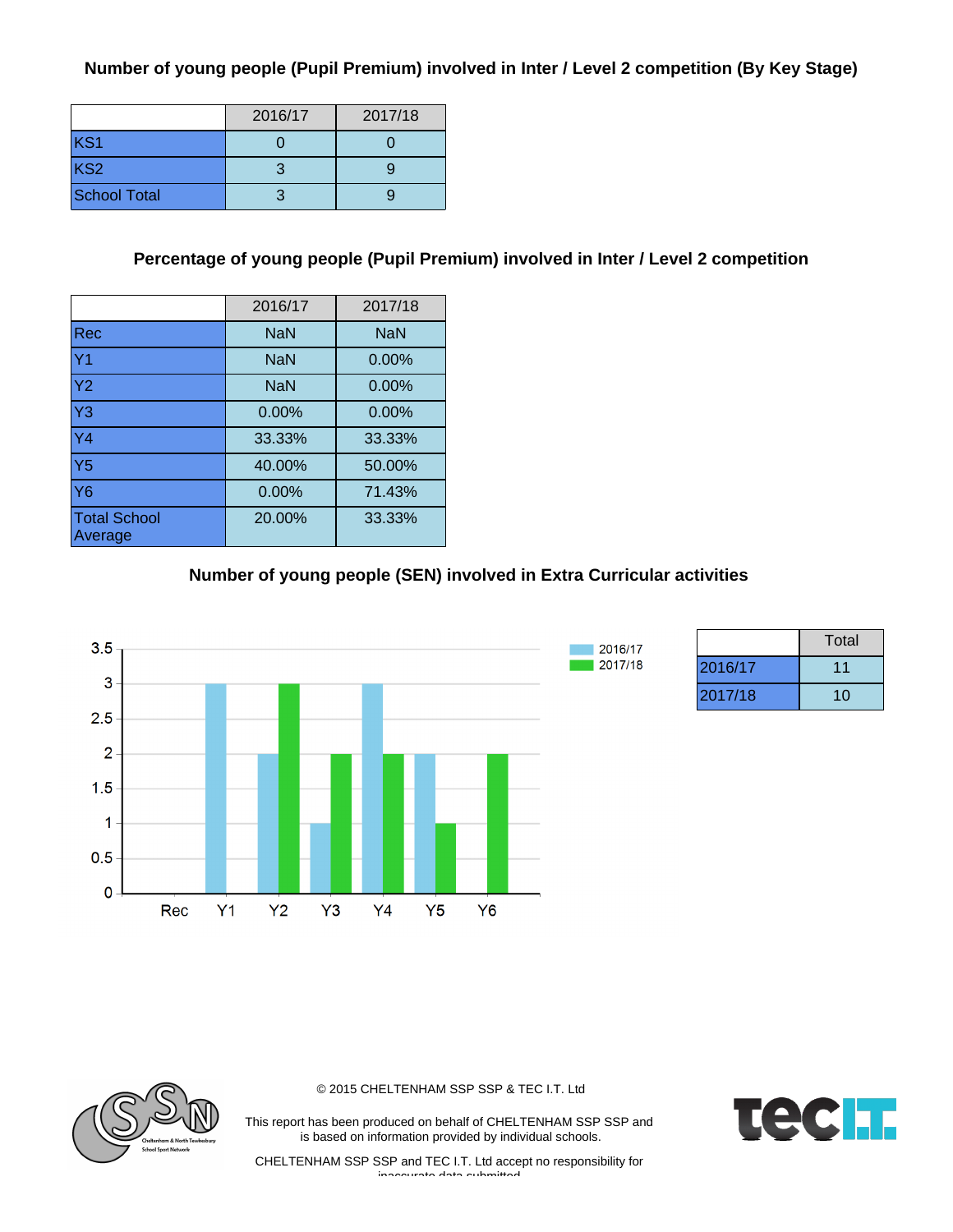## **Number of young people (Pupil Premium) involved in Inter / Level 2 competition (By Key Stage)**

|                     | 2016/17 | 2017/18 |
|---------------------|---------|---------|
| KS <sub>1</sub>     |         |         |
| KS <sub>2</sub>     |         |         |
| <b>School Total</b> |         |         |

#### **Percentage of young people (Pupil Premium) involved in Inter / Level 2 competition**

|                                | 2016/17    | 2017/18    |
|--------------------------------|------------|------------|
| Rec                            | <b>NaN</b> | <b>NaN</b> |
| Y <sub>1</sub>                 | <b>NaN</b> | 0.00%      |
| Y <sub>2</sub>                 | <b>NaN</b> | 0.00%      |
| $\overline{Y}3$                | 0.00%      | 0.00%      |
| Y <sub>4</sub>                 | 33.33%     | 33.33%     |
| Y <sub>5</sub>                 | 40.00%     | 50.00%     |
| <b>Y6</b>                      | $0.00\%$   | 71.43%     |
| <b>Total School</b><br>Average | 20.00%     | 33.33%     |

## **Number of young people (SEN) involved in Extra Curricular activities**



|         | Total |
|---------|-------|
| 2016/17 | 11    |
| 2017/18 | 10    |



© 2015 CHELTENHAM SSP SSP & TEC I.T. Ltd

This report has been produced on behalf of CHELTENHAM SSP SSP and is based on information provided by individual schools.